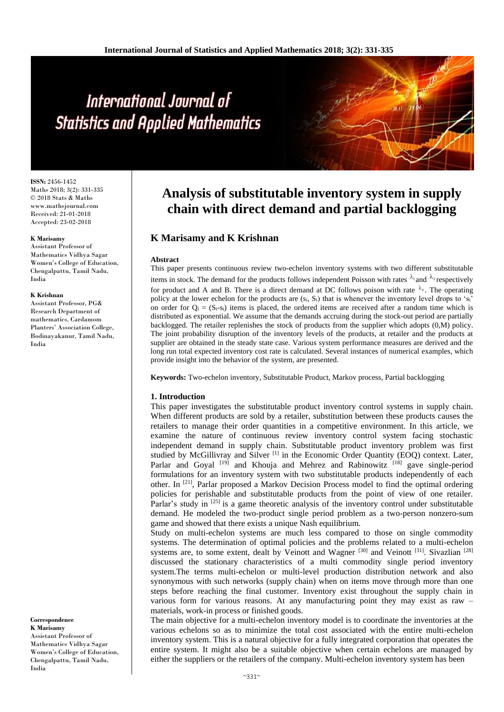# International Journal of **Statistics and Applied Mathematics**

**ISSN:** 2456-1452 Maths 2018; 3(2): 331-335 © 2018 Stats & Maths www.mathsjournal.com Received: 21-01-2018 Accepted: 23-02-2018

#### **K Marisamy**

Assistant Professor of Mathematics Vidhya Sagar Women's College of Education, Chengalpattu, Tamil Nadu, India

#### **K Krishnan**

Assistant Professor, PG& Research Department of mathematics, Cardamom Planters' Association College, Bodinayakanur, Tamil Nadu, India

**Correspondence K Marisamy**

Assistant Professor of Mathematics Vidhya Sagar Women's College of Education, Chengalpattu, Tamil Nadu, India

# **Analysis of substitutable inventory system in supply chain with direct demand and partial backlogging**

# **K Marisamy and K Krishnan**

#### **Abstract**

This paper presents continuous review two-echelon inventory systems with two different substitutable items in stock. The demand for the products follows independent Poisson with rates  $\lambda_1$  and  $\lambda_2$  respectively for product and A and B. There is a direct demand at DC follows poison with rate  $\lambda_4$ . The operating policy at the lower echelon for the products are  $(s_i, S_i)$  that is whenever the inventory level drops to 's<sub>i</sub>' on order for  $Q_i = (S_i - s_i)$  items is placed, the ordered items are received after a random time which is distributed as exponential. We assume that the demands accruing during the stock-out period are partially backlogged. The retailer replenishes the stock of products from the supplier which adopts (0,M) policy. The joint probability disruption of the inventory levels of the products, at retailer and the products at supplier are obtained in the steady state case. Various system performance measures are derived and the long run total expected inventory cost rate is calculated. Several instances of numerical examples, which provide insight into the behavior of the system, are presented.

**Keywords:** Two-echelon inventory, Substitutable Product, Markov process, Partial backlogging

#### **1. Introduction**

This paper investigates the substitutable product inventory control systems in supply chain. When different products are sold by a retailer, substitution between these products causes the retailers to manage their order quantities in a competitive environment. In this article, we examine the nature of continuous review inventory control system facing stochastic independent demand in supply chain. Substitutable product inventory problem was first studied by McGillivray and Silver [1] in the Economic Order Quantity (EOQ) context. Later, Parlar and Goyal <sup>[19]</sup> and Khouja and Mehrez and Rabinowitz <sup>[18]</sup> gave single-period formulations for an inventory system with two substitutable products independently of each other. In [21], Parlar proposed a Markov Decision Process model to find the optimal ordering policies for perishable and substitutable products from the point of view of one retailer. Parlar's study in [25] is a game theoretic analysis of the inventory control under substitutable demand. He modeled the two-product single period problem as a two-person nonzero-sum game and showed that there exists a unique Nash equilibrium.

Study on multi-echelon systems are much less compared to those on single commodity systems. The determination of optimal policies and the problems related to a multi-echelon systems are, to some extent, dealt by Veinott and Wagner<sup>[30]</sup> and Veinott<sup>[31]</sup>. Sivazlian<sup>[28]</sup> discussed the stationary characteristics of a multi commodity single period inventory system.The terms multi-echelon or multi-level production distribution network and also synonymous with such networks (supply chain) when on items move through more than one steps before reaching the final customer. Inventory exist throughout the supply chain in various form for various reasons. At any manufacturing point they may exist as raw – materials, work-in process or finished goods.

The main objective for a multi-echelon inventory model is to coordinate the inventories at the various echelons so as to minimize the total cost associated with the entire multi-echelon inventory system. This is a natural objective for a fully integrated corporation that operates the entire system. It might also be a suitable objective when certain echelons are managed by either the suppliers or the retailers of the company. Multi-echelon inventory system has been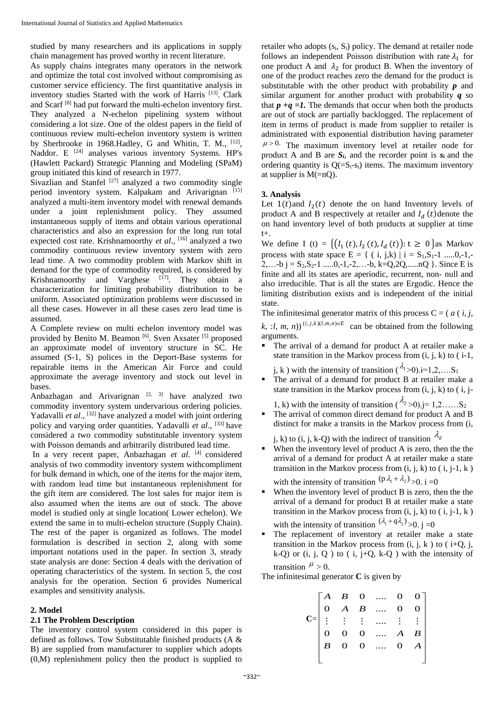studied by many researchers and its applications in supply chain management has proved worthy in recent literature.

As supply chains integrates many operators in the network and optimize the total cost involved without compromising as customer service efficiency. The first quantitative analysis in inventory studies Started with the work of Harris [13]. Clark and Scarf [8] had put forward the multi-echelon inventory first. They analyzed a N-echelon pipelining system without considering a lot size. One of the oldest papers in the field of continuous review multi-echelon inventory system is written by Sherbrooke in 1968. Hadley, G and Whitin, T. M., <sup>[12]</sup>, Naddor. E<sup>[24]</sup> analyses various inventory Systems. HP's (Hawlett Packard) Strategic Planning and Modeling (SPaM) group initiated this kind of research in 1977.

Sivazlian and Stanfel  $[27]$  analyzed a two commodity single period inventory system. Kalpakam and Arivarignan [15] analyzed a multi-item inventory model with renewal demands under a joint replenishment policy. They assumed instantaneous supply of items and obtain various operational characteristics and also an expression for the long run total expected cost rate. Krishnamoorthy *et al*., [16] analyzed a two commodity continuous review inventory system with zero lead time. A two commodity problem with Markov shift in demand for the type of commodity required, is considered by Krishnamoorthy and Varghese  $[17]$ . They obtain a characterization for limiting probability distribution to be uniform. Associated optimization problems were discussed in all these cases. However in all these cases zero lead time is assumed.

A Complete review on multi echelon inventory model was provided by Benito M. Beamon [6]. Sven Axsater [5] proposed an approximate model of inventory structure in SC. He assumed (S-1, S) polices in the Deport-Base systems for repairable items in the American Air Force and could approximate the average inventory and stock out level in bases.

Anbazhagan and Arivarignan  $[2, 3]$  have analyzed two commodity inventory system undervarious ordering policies. Yadavalli et al., <sup>[32]</sup> have analyzed a model with joint ordering policy and varying order quantities. Yadavalli *et al*., [33] have considered a two commodity substitutable inventory system with Poisson demands and arbitrarily distributed lead time.

In a very recent paper, Anbazhagan *et al*. [4] considered analysis of two commodity inventory system withcompliment for bulk demand in which, one of the items for the major item, with random lead time but instantaneous replenishment for the gift item are considered. The lost sales for major item is also assumed when the items are out of stock. The above model is studied only at single location( Lower echelon). We extend the same in to multi-echelon structure (Supply Chain). The rest of the paper is organized as follows. The model formulation is described in section 2, along with some important notations used in the paper. In section 3, steady state analysis are done: Section 4 deals with the derivation of operating characteristics of the system. In section 5, the cost analysis for the operation. Section 6 provides Numerical examples and sensitivity analysis.

#### **2. Model**

#### **2.1 The Problem Description**

The inventory control system considered in this paper is defined as follows. Tow Substitutable finished products (A & B) are supplied from manufacturer to supplier which adopts (0,M) replenishment policy then the product is supplied to

retailer who adopts  $(s_i, S_i)$  policy. The demand at retailer node follows an independent Poisson distribution with rate  $\lambda_1$  for one product A and  $\lambda_2$  for product B. When the inventory of one of the product reaches zero the demand for the product is substitutable with the other product with probability *p* and similar argument for another product with probability *q* so that  $p + q = 1$ . The demands that occur when both the products are out of stock are partially backlogged. The replacement of item in terms of product is made from supplier to retailer is administrated with exponential distribution having parameter  $\mu > 0$ . The maximum inventory level at retailer node for product A and B are  $S_i$ , and the recorder point is  $S_i$  and the ordering quantity is  $Q(=S_i-s_i)$  items. The maximum inventory at supplier is M(=nQ).

#### **3. Analysis**

Let  $1(t)$  and  $I_2(t)$  denote the on hand Inventory levels of product A and B respectively at retailer and  $I_d$  (t)denote the on hand inventory level of both products at supplier at time t+.

We define I (t) = { $(I_1(t), I_2(t), I_d(t))$ :  $t \ge 0$ }as Markov process with state space E = { ( i, j,k) | i = S1,S1-1 .....0,-1,- 2,...-b  $j = S_2, S_2$ -1 .....0,-1,-2,...-b, k=Q,2Q,.....nQ }. Since E is finite and all its states are aperiodic, recurrent, non- null and also irreducible. That is all the states are Ergodic. Hence the limiting distribution exists and is independent of the initial state.

The infinitesimal generator matrix of this process  $C = (a(i, j, j))$  $(k, \ldots, k, n)$ <sup>(i,j,k)(l,m,n) $\in E$ </sup> can be obtained from the following arguments.

 The arrival of a demand for product A at retailer make a state transition in the Markov process from  $(i, j, k)$  to  $(i-1, j)$ 

j, k) with the intensity of transition  $(\lambda_1>0)$  i=1,2,....S<sub>1</sub>

- The arrival of a demand for product B at retailer make a state transition in the Markov process from  $(i, j, k)$  to  $(i, j-$
- 1, k) with the intensity of transition  $(\lambda_2 > 0)$ .j= 1,2……S<sub>2</sub> The arrival of common direct demand for product A and B distinct for make a transits in the Markov process from (i,

j, k) to (i, j, k-Q) with the indirect of transition  $\lambda_d$ 

- When the inventory level of product A is zero, then the the arrival of a demand for product A at retailer make a state transition in the Markov process from  $(i, j, k)$  to  $(i, j-1, k)$ with the intensity of transition  $(p \lambda_1 + \lambda_2)$  > 0. i = 0
- When the inventory level of product B is zero, then the the arrival of a demand for product B at retailer make a state transition in the Markov process from  $(i, j, k)$  to  $(i, j-1, k)$ with the intensity of transition  $(\lambda_1 + q\lambda_2) > 0$ . j = 0
- The replacement of inventory at retailer make a state transition in the Markov process from  $(i, j, k)$  to  $(i+Q, j, k)$  $k-Q$ ) or  $(i, j, Q)$  to  $(i, j+Q, k-Q)$  with the intensity of transition  $^{\mu}$  > 0.

The infinitesimal generator **C** is given by

$$
\mathbf{C} = \begin{bmatrix} A & B & 0 & \dots & 0 & 0 \\ 0 & A & B & \dots & 0 & 0 \\ \vdots & \vdots & \vdots & \dots & \vdots & \vdots \\ 0 & 0 & 0 & \dots & A & B \\ B & 0 & 0 & \dots & 0 & A \end{bmatrix}
$$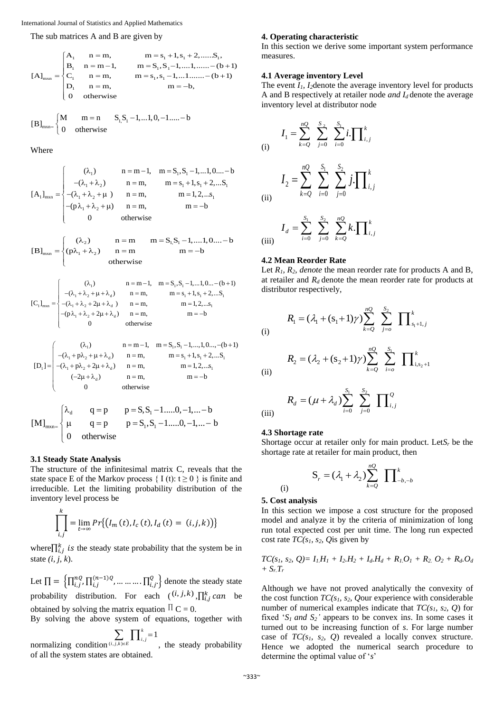International Journal of Statistics and Applied Mathematics

The sub matrices A and B are given by

$$
[A]_{\text{max}} = \begin{cases} A_1 & n = m, & m = s_1 + 1, s_1 + 2, \dots, S_1, \\ B_1 & n = m - 1, & m = S_1, S_1 - 1, \dots, 1, \dots, -(b + 1) \\ C_1 & n = m, & m = s_1, s_1 - 1, \dots, 1, \dots, -(b + 1) \\ D_1 & n = m, & m = -b, \\ 0 & \text{otherwise} \end{cases}
$$

[B]<sub>mxn=</sub> 
$$
\begin{cases} M & m = n \\ 0 & \text{otherwise} \end{cases}
$$
 S<sub>1</sub>, S<sub>1</sub> - 1,...1, 0, -1...... - b

Where

$$
[A_1]_{\text{max}} = \begin{cases} (\lambda_1) & n = m - 1, m = S_1, S_1 - 1, \dots, 1, 0, \dots - b \\ -(\lambda_1 + \lambda_2) & n = m, m = s_1 + 1, s_1 + 2, \dots, S_1 \\ -(\lambda_1 + \lambda_2 + \mu) & n = m, m = 1, 2, \dots, s_1 \\ -(\mathbf{p}\lambda_1 + \lambda_2 + \mu) & n = m, m = -b \\ 0 & \text{otherwise} \end{cases}
$$

$$
[\mathbf{B}]_{\text{max}} = \begin{cases} (\lambda_2) & \text{if } n = m \\ (p\lambda_1 + \lambda_2) & \text{if } n = m \\ \text{otherwise} \end{cases} \quad \text{in } m = -b
$$

$$
[C_1]_{\text{max}} = \begin{cases} (\lambda_1) & n = m - 1, \quad m = S_1, S_1 - 1, \dots, 1, 0 \dots - (b + 1) \\ -(\lambda_1 + \lambda_2 + \mu + \lambda_d) & n = m, \quad m = s_1 + 1, s_1 + 2, \dots, S_1 \\ -(\lambda_1 + \lambda_2 + 2\mu + \lambda_d) & n = m, \quad m = 1, 2, \dots, s_1 \\ -(\mathbf{p}\lambda_1 + \lambda_2 + 2\mu + \lambda_d) & n = m, \quad m = -b \\ 0 & \text{otherwise} \end{cases}
$$

$$
[D_1] = \begin{pmatrix} (\lambda_1) & n = m - 1, & m = S_1, S_1 - 1, ..., 1, 0 ..., -(b + 1) \\ -(\lambda_1 + p\lambda_2 + \mu + \lambda_d) & n = m, & m = s_1 + 1, s_1 + 2, ... S_1 \\ -(\lambda_1 + p\lambda_2 + 2\mu + \lambda_d) & n = m, & m = 1, 2, ... s_1 \\ (-2\mu + \lambda_d) & n = m, & m = -b \\ 0 & \text{otherwise} & \end{pmatrix}
$$

$$
[M]_{\text{maxn}} = \begin{cases} \lambda_{d} & q = p \\ \mu & q = p \\ 0 & \text{otherwise} \end{cases} \quad p = S_{1}, S_{1} - 1, \dots, 0, -1, \dots - b
$$

#### **3.1 Steady State Analysis**

The structure of the infinitesimal matrix C, reveals that the state space E of the Markov process  $\{I(t): t \geq 0\}$  is finite and irreducible. Let the limiting probability distribution of the inventory level process be

$$
\prod_{i,j}^{k} = \lim_{t \to \infty} Pr\{(I_m(t), I_c(t), I_d(t) = (i, j, k))\}
$$

where $\prod_{i,j}^{k}$  is the steady state probability that the system be in state *(i, j, k*).

Let  $\prod = \left\{ \prod_{i,j}^{n_Q}, \prod_{i,j}^{(n-1)Q}, \ldots, \ldots, \prod_{i,j}^{Q} \right\}$  denote the steady state probability distribution. For each  $((i, j, k), \prod_{i,j}^{k} can$  be obtained by solving the matrix equation  $\Pi C = 0$ .

By solving the above system of equations, together with *k*

normalizing condition  $\sum_{(i,j,k)\in E} \prod_{i,j=1}^{n}$  $\sum_{i,j,k\in E} \prod_{i,j}^k =$  $E$ **i**  $\mathbf{I}$  *i*, *j* , the steady probability of all the system states are obtained.

#### **4. Operating characteristic**

In this section we derive some important system performance measures.

#### **4.1 Average inventory Level**

The event  $I_1$ ,  $I_2$  denote the average inventory level for products A and B respectively at retailer node *and Id* denote the average inventory level at distributor node

(i)  
\n
$$
I_{1} = \sum_{k=Q}^{nQ} \sum_{j=0}^{S_{2}} \sum_{i=0}^{S_{1}} i \cdot \prod_{i,j}^{k}
$$
\n
$$
I_{2} = \sum_{k=Q}^{nQ} \sum_{i=0}^{S_{1}} \sum_{j=0}^{S_{2}} j \cdot \prod_{i,j}^{k}
$$
\n
$$
I_{d} = \sum_{i=0}^{S_{1}} \sum_{j=0}^{S_{2}} \sum_{k=Q}^{nQ} k \cdot \prod_{i,j}^{k}
$$
\n(iii)

#### **4.2 Mean Reorder Rate**

Let  $R_1$ ,  $R_2$ , denote the mean reorder rate for products A and B, at retailer and  $R_d$  denote the mean reorder rate for products at distributor respectively,

$$
R_1 = (\lambda_1 + (s_1 + 1)\gamma) \sum_{k=Q}^{nQ} \sum_{j=0}^{s_2} \prod_{s_1+1, j}^{k}
$$

$$
R_2 = (\lambda_2 + (s_2 + 1)\gamma) \sum_{k=Q}^{nQ} \sum_{i=0}^{S_1} \prod_{i,s_2+1}^{k}
$$

(iii) 
$$
R_d = (\mu + \lambda_d) \sum_{i=0}^{S_1} \sum_{j=0}^{S_2} \prod_{i,j}^{Q}
$$

#### **4.3 Shortage rate**

(i)

(ii)

Shortage occur at retailer only for main product. Let  $S_r$  be the shortage rate at retailer for main product, then

$$
\mathbf{S}_r = (\lambda_1 + \lambda_2) \sum_{k=0}^{nQ} \prod_{-b,-b}^{k}
$$

# (i) **5. Cost analysis**

In this section we impose a cost structure for the proposed model and analyze it by the criteria of minimization of long run total expected cost per unit time. The long run expected cost rate  $TC(s_1, s_2, Q$  is given by

$$
TC(s_1, s_2, Q) = I_1H_1 + I_2H_2 + I_dH_d + R_1O_1 + R_2O_2 + R_dO_d
$$
  
+ S<sub>r</sub>T<sub>r</sub>

Although we have not proved analytically the convexity of the cost function *TC(s1, s2, Q*our experience with considerable number of numerical examples indicate that *TC(s1, s2, Q*) for fixed ' $S_1$  *and*  $S_2$ ' appears to be convex ins. In some cases it turned out to be increasing function of *s*. For large number case of *TC(s1, s2, Q*) revealed a locally convex structure. Hence we adopted the numerical search procedure to determine the optimal value of '*s*'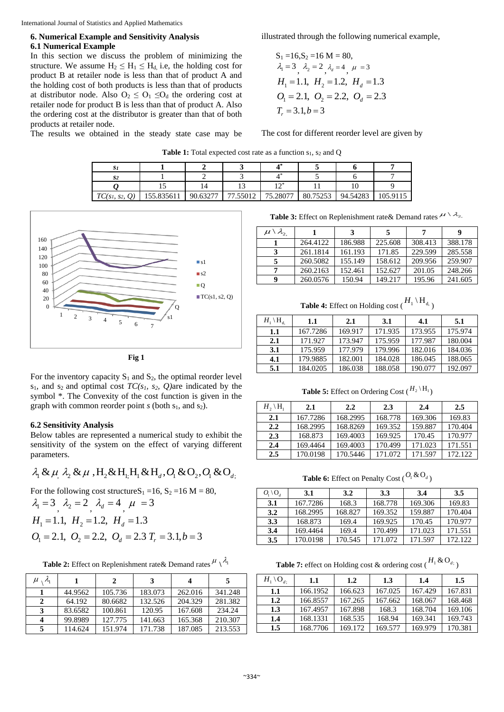International Journal of Statistics and Applied Mathematics

### **6. Numerical Example and Sensitivity Analysis 6.1 Numerical Example**

In this section we discuss the problem of minimizing the structure. We assume  $H_2 \leq H_1 \leq H_d$ , i.e, the holding cost for product B at retailer node is less than that of product A and the holding cost of both products is less than that of products at distributor node. Also  $O_2 \leq O_1 \leq O_d$  the ordering cost at retailer node for product B is less than that of product A. Also the ordering cost at the distributor is greater than that of both products at retailer node.

The results we obtained in the steady state case may be

illustrated through the following numerical example,

$$
S_1 = 16, S_2 = 16 M = 80,
$$
  
\n $\lambda_1 = 3, \lambda_2 = 2, \lambda_d = 4, \mu = 3$   
\n $H_1 = 1.1, H_2 = 1.2, H_d = 1.3$   
\n $O_1 = 2.1, O_2 = 2.2, O_d = 2.3$   
\n $T_r = 3.1, b = 3$ 

The cost for different reorder level are given by

**Table 1:** Total expected cost rate as a function s<sub>1</sub>, s<sub>2</sub> and Q

| 91                |            |          |         |              |          |          |          |
|-------------------|------------|----------|---------|--------------|----------|----------|----------|
| S2                |            |          |         | . .          |          |          |          |
|                   |            | 14       |         | $1^*$<br>. . |          |          |          |
| $TC(s_1, s_2, Q)$ | 155.835611 | 90.63277 | '.55012 | 75.28077     | 80.75253 | 94.54283 | 105 9115 |



**Fig 1**

For the inventory capacity  $S_1$  and  $S_2$ , the optimal reorder level  $s_1$ , and  $s_2$  and optimal cost *TC(s<sub>1</sub>*, *s*<sub>2</sub>*, Q)*are indicated by the symbol \*. The Convexity of the cost function is given in the graph with common reorder point  $s$  (both  $s_1$ , and  $s_2$ ).

#### **6.2 Sensitivity Analysis**

Below tables are represented a numerical study to exhibit the sensitivity of the system on the effect of varying different parameters.

$$
\lambda_1 \& \mu_1 \lambda_2 \& \mu_2 \& \mu_3 \& H_1 \& H_1 \& H_d, O_1 \& O_2, O_1 \& O_d,
$$

For the following cost structure $S_1 = 16$ ,  $S_2 = 16$  M = 80,

$$
\lambda_1 = 3
$$
,  $\lambda_2 = 2$ ,  $\lambda_d = 4$ ,  $\mu = 3$   
\n $H_1 = 1.1$ ,  $H_2 = 1.2$ ,  $H_d = 1.3$   
\n $O_1 = 2.1$ ,  $O_2 = 2.2$ ,  $O_d = 2.3$   $T_r = 3.1, b = 3$ 

**Table 2:** Effect on Replenishment rate & Demand rates  $\mu \setminus \lambda_1$ 

| $\lambda$<br>$\mu$ |         | 2       | 3       |         | 5       |
|--------------------|---------|---------|---------|---------|---------|
|                    | 44.9562 | 105.736 | 183.073 | 262.016 | 341.248 |
|                    | 64.192  | 80.6682 | 132.526 | 204.329 | 281.382 |
| 3                  | 83.6582 | 100.861 | 120.95  | 167.608 | 234.24  |
|                    | 99.8989 | 127.775 | 141.663 | 165.368 | 210.307 |
|                    | 114.624 | 151.974 | 171.738 | 187.085 | 213.553 |

**Table 3:** Effect on Replenishment rate & Demand rates  $\mu \setminus \lambda_2$ .

| $\mu \setminus \lambda_{2}$ |          | 3       |         | 7       |         |
|-----------------------------|----------|---------|---------|---------|---------|
|                             | 264.4122 | 186.988 | 225.608 | 308.413 | 388.178 |
|                             | 261.1814 | 161.193 | 171.85  | 229.599 | 285.558 |
|                             | 260.5082 | 155.149 | 158.612 | 209.956 | 259.907 |
|                             | 260.2163 | 152.461 | 152.627 | 201.05  | 248.266 |
| q                           | 260.0576 | 150.94  | 149.217 | 195.96  | 241.605 |

**Table 4:** Effect on Holding cost ( $H_1 \setminus H_{d, \, \cdot}$ )

| $H_1 \setminus H_4$ | 1.1      | 2.1     | 3.1     | 4.1     | 5.1     |
|---------------------|----------|---------|---------|---------|---------|
| 1.1                 | 167.7286 | 169.917 | 171.935 | 173.955 | 175.974 |
| 2.1                 | 171.927  | 173.947 | 175.959 | 177.987 | 180.004 |
| 3.1                 | 175.959  | 177.979 | 179.996 | 182.016 | 184.036 |
| 4.1                 | 179.9885 | 182.001 | 184.028 | 186.045 | 188.065 |
| 5.1                 | 184.0205 | 186.038 | 188.058 | 190.077 | 192.097 |

**Table 5:** Effect on Ordering Cost  $({}^{H_2 \setminus H_1})$ 

| $H_2 \setminus H_1$ | 2.1      | 2.2      | 2.3     | 2.4     | 2.5     |
|---------------------|----------|----------|---------|---------|---------|
| 2.1                 | 167.7286 | 168.2995 | 168.778 | 169.306 | 169.83  |
| $2.2^{\circ}$       | 168.2995 | 168.8269 | 169.352 | 159.887 | 170.404 |
| 2.3                 | 168.873  | 169.4003 | 169.925 | 170.45  | 170.977 |
| 2.4                 | 169.4464 | 169.4003 | 170.499 | 171.023 | 171.551 |
| $2.5\,$             | 170.0198 | 170.5446 | 171.072 | 171.597 | 172.122 |

**Table 6:** Effect on Penalty Cost  $(\mathcal{O}_1 \& \mathcal{O}_d)$ 

| $O_1 \backslash O_d$ | 3.1      | 3.2     | 3.3     | 3.4     | 3.5     |
|----------------------|----------|---------|---------|---------|---------|
| 3.1                  | 167.7286 | 168.3   | 168.778 | 169.306 | 169.83  |
| 3.2                  | 168.2995 | 168.827 | 169.352 | 159.887 | 170.404 |
| 3.3                  | 168.873  | 169.4   | 169.925 | 170.45  | 170.977 |
| 3.4                  | 169.4464 | 169.4   | 170.499 | 171.023 | 171.551 |
| 3.5                  | 170.0198 | 170.545 | 171.072 | 171.597 | 172.122 |

**Table 7:** effect on Holding cost & ordering cost ( $H_1 \& O_{d_1}$ )

| $H_1 \backslash O_{d_1}$ | $1.1\,$  | 1.2     | 1.3     | 1.4     | 1.5     |
|--------------------------|----------|---------|---------|---------|---------|
| 1.1                      | 166.1952 | 166.623 | 167.025 | 167.429 | 167.831 |
| 1.2                      | 166.8557 | 167.265 | 167.662 | 168.067 | 168.468 |
| 1.3                      | 167.4957 | 167.898 | 168.3   | 168.704 | 169.106 |
| 1.4                      | 168.1331 | 168.535 | 168.94  | 169.341 | 169.743 |
| 1.5                      | 168.7706 | 169.172 | 169.577 | 169.979 | 170.381 |